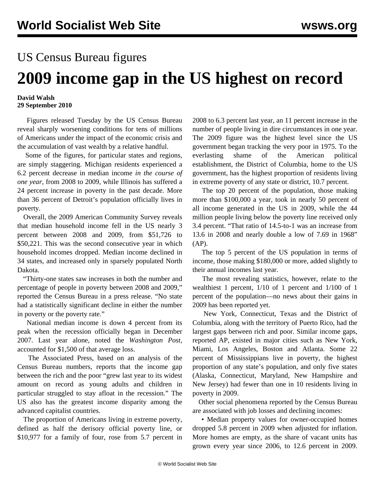## US Census Bureau figures

## **2009 income gap in the US highest on record**

## **David Walsh 29 September 2010**

 Figures released Tuesday by the US Census Bureau reveal sharply worsening conditions for tens of millions of Americans under the impact of the economic crisis and the accumulation of vast wealth by a relative handful.

 Some of the figures, for particular states and regions, are simply staggering. Michigan residents experienced a 6.2 percent decrease in median income *in the course of one year*, from 2008 to 2009, while Illinois has suffered a 24 percent increase in poverty in the past decade. More than 36 percent of Detroit's population officially lives in poverty.

 Overall, the 2009 American Community Survey reveals that median household income fell in the US nearly 3 percent between 2008 and 2009, from \$51,726 to \$50,221. This was the second consecutive year in which household incomes dropped. Median income declined in 34 states, and increased only in sparsely populated North Dakota.

 "Thirty-one states saw increases in both the number and percentage of people in poverty between 2008 and 2009," reported the Census Bureau in a press release. "No state had a statistically significant decline in either the number in poverty or the poverty rate."

 National median income is down 4 percent from its peak when the recession officially began in December 2007. Last year alone, noted the *Washington Post*, accounted for \$1,500 of that average loss.

 The Associated Press, based on an analysis of the Census Bureau numbers, reports that the income gap between the rich and the poor "grew last year to its widest amount on record as young adults and children in particular struggled to stay afloat in the recession." The US also has the greatest income disparity among the advanced capitalist countries.

 The proportion of Americans living in extreme poverty, defined as half the derisory official poverty line, or \$10,977 for a family of four, rose from 5.7 percent in

2008 to 6.3 percent last year, an 11 percent increase in the number of people living in dire circumstances in one year. The 2009 figure was the highest level since the US government began tracking the very poor in 1975. To the everlasting shame of the American political establishment, the District of Columbia, home to the US government, has the highest proportion of residents living in extreme poverty of any state or district, 10.7 percent.

 The top 20 percent of the population, those making more than \$100,000 a year, took in nearly 50 percent of all income generated in the US in 2009, while the 44 million people living below the poverty line received only 3.4 percent. "That ratio of 14.5-to-1 was an increase from 13.6 in 2008 and nearly double a low of 7.69 in 1968" (AP).

 The top 5 percent of the US population in terms of income, those making \$180,000 or more, added slightly to their annual incomes last year.

 The most revealing statistics, however, relate to the wealthiest 1 percent, 1/10 of 1 percent and 1/100 of 1 percent of the population—no news about their gains in 2009 has been reported yet.

 New York, Connecticut, Texas and the District of Columbia, along with the territory of Puerto Rico, had the largest gaps between rich and poor. Similar income gaps, reported AP, existed in major cities such as New York, Miami, Los Angeles, Boston and Atlanta. Some 22 percent of Mississippians live in poverty, the highest proportion of any state's population, and only five states (Alaska, Connecticut, Maryland, New Hampshire and New Jersey) had fewer than one in 10 residents living in poverty in 2009.

 Other social phenomena reported by the Census Bureau are associated with job losses and declining incomes:

 • Median property values for owner-occupied homes dropped 5.8 percent in 2009 when adjusted for inflation. More homes are empty, as the share of vacant units has grown every year since 2006, to 12.6 percent in 2009.